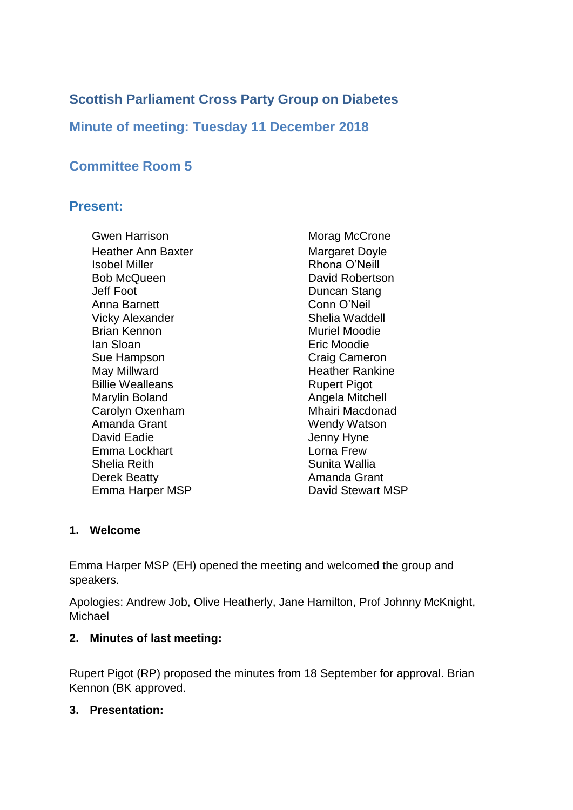# **Scottish Parliament Cross Party Group on Diabetes**

**Minute of meeting: Tuesday 11 December 2018**

# **Committee Room 5**

# **Present:**

Gwen Harrison **Morag McCrone** Heather Ann Baxter **Margaret Doyle** Isobel Miller **Rhona O'Neill** Bob McQueen **David Robertson** Jeff Foot Duncan Stang Anna Barnett Conn O'Neil Vicky Alexander Shelia Waddell Brian Kennon Muriel Moodie Ian Sloan Eric Moodie Sue Hampson Craig Cameron May Millward **Heather Rankine** Billie Wealleans **Rupert Pigot** Marylin Boland **Angela Mitchell** Carolyn Oxenham Mhairi Macdonad Amanda Grant Wendy Watson David Eadie **David Eadie Jenny Hyne** Emma Lockhart Lorna Frew Shelia Reith Sunita Wallia Derek Beatty **Amanda Grant** Emma Harper MSP David Stewart MSP

## **1. Welcome**

Emma Harper MSP (EH) opened the meeting and welcomed the group and speakers.

Apologies: Andrew Job, Olive Heatherly, Jane Hamilton, Prof Johnny McKnight, Michael

## **2. Minutes of last meeting:**

Rupert Pigot (RP) proposed the minutes from 18 September for approval. Brian Kennon (BK approved.

## **3. Presentation:**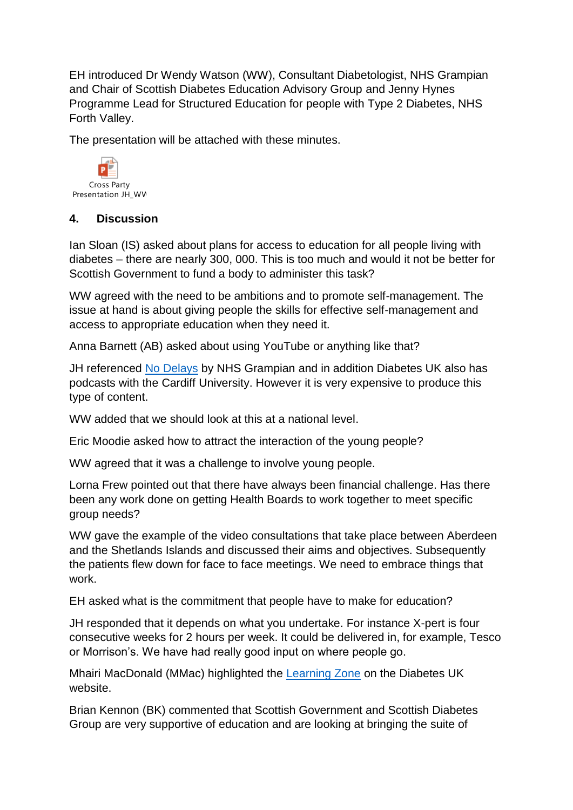EH introduced Dr Wendy Watson (WW), Consultant Diabetologist, NHS Grampian and Chair of Scottish Diabetes Education Advisory Group and Jenny Hynes Programme Lead for Structured Education for people with Type 2 Diabetes, NHS Forth Valley.

The presentation will be attached with these minutes.



## **4. Discussion**

Ian Sloan (IS) asked about plans for access to education for all people living with diabetes – there are nearly 300, 000. This is too much and would it not be better for Scottish Government to fund a body to administer this task?

WW agreed with the need to be ambitions and to promote self-management. The issue at hand is about giving people the skills for effective self-management and access to appropriate education when they need it.

Anna Barnett (AB) asked about using YouTube or anything like that?

JH referenced [No Delays](https://www.nodelays.co.uk/) by NHS Grampian and in addition Diabetes UK also has podcasts with the Cardiff University. However it is very expensive to produce this type of content.

WW added that we should look at this at a national level.

Eric Moodie asked how to attract the interaction of the young people?

WW agreed that it was a challenge to involve young people.

Lorna Frew pointed out that there have always been financial challenge. Has there been any work done on getting Health Boards to work together to meet specific group needs?

WW gave the example of the video consultations that take place between Aberdeen and the Shetlands Islands and discussed their aims and objectives. Subsequently the patients flew down for face to face meetings. We need to embrace things that work.

EH asked what is the commitment that people have to make for education?

JH responded that it depends on what you undertake. For instance X-pert is four consecutive weeks for 2 hours per week. It could be delivered in, for example, Tesco or Morrison's. We have had really good input on where people go.

Mhairi MacDonald (MMac) highlighted the [Learning Zone](https://learningzone.diabetes.org.uk/) on the Diabetes UK website.

Brian Kennon (BK) commented that Scottish Government and Scottish Diabetes Group are very supportive of education and are looking at bringing the suite of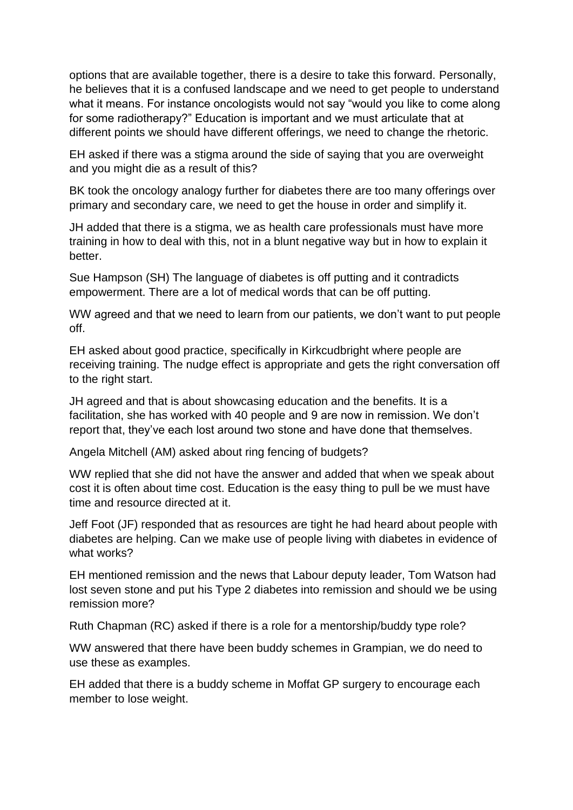options that are available together, there is a desire to take this forward. Personally, he believes that it is a confused landscape and we need to get people to understand what it means. For instance oncologists would not say "would you like to come along for some radiotherapy?" Education is important and we must articulate that at different points we should have different offerings, we need to change the rhetoric.

EH asked if there was a stigma around the side of saying that you are overweight and you might die as a result of this?

BK took the oncology analogy further for diabetes there are too many offerings over primary and secondary care, we need to get the house in order and simplify it.

JH added that there is a stigma, we as health care professionals must have more training in how to deal with this, not in a blunt negative way but in how to explain it better.

Sue Hampson (SH) The language of diabetes is off putting and it contradicts empowerment. There are a lot of medical words that can be off putting.

WW agreed and that we need to learn from our patients, we don't want to put people off.

EH asked about good practice, specifically in Kirkcudbright where people are receiving training. The nudge effect is appropriate and gets the right conversation off to the right start.

JH agreed and that is about showcasing education and the benefits. It is a facilitation, she has worked with 40 people and 9 are now in remission. We don't report that, they've each lost around two stone and have done that themselves.

Angela Mitchell (AM) asked about ring fencing of budgets?

WW replied that she did not have the answer and added that when we speak about cost it is often about time cost. Education is the easy thing to pull be we must have time and resource directed at it.

Jeff Foot (JF) responded that as resources are tight he had heard about people with diabetes are helping. Can we make use of people living with diabetes in evidence of what works?

EH mentioned remission and the news that Labour deputy leader, Tom Watson had lost seven stone and put his Type 2 diabetes into remission and should we be using remission more?

Ruth Chapman (RC) asked if there is a role for a mentorship/buddy type role?

WW answered that there have been buddy schemes in Grampian, we do need to use these as examples.

EH added that there is a buddy scheme in Moffat GP surgery to encourage each member to lose weight.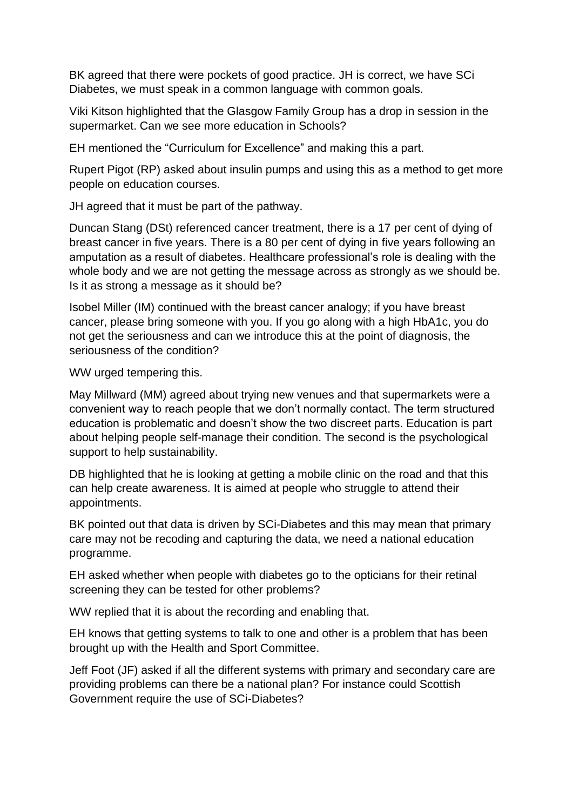BK agreed that there were pockets of good practice. JH is correct, we have SCi Diabetes, we must speak in a common language with common goals.

Viki Kitson highlighted that the Glasgow Family Group has a drop in session in the supermarket. Can we see more education in Schools?

EH mentioned the "Curriculum for Excellence" and making this a part.

Rupert Pigot (RP) asked about insulin pumps and using this as a method to get more people on education courses.

JH agreed that it must be part of the pathway.

Duncan Stang (DSt) referenced cancer treatment, there is a 17 per cent of dying of breast cancer in five years. There is a 80 per cent of dying in five years following an amputation as a result of diabetes. Healthcare professional's role is dealing with the whole body and we are not getting the message across as strongly as we should be. Is it as strong a message as it should be?

Isobel Miller (IM) continued with the breast cancer analogy; if you have breast cancer, please bring someone with you. If you go along with a high HbA1c, you do not get the seriousness and can we introduce this at the point of diagnosis, the seriousness of the condition?

WW urged tempering this.

May Millward (MM) agreed about trying new venues and that supermarkets were a convenient way to reach people that we don't normally contact. The term structured education is problematic and doesn't show the two discreet parts. Education is part about helping people self-manage their condition. The second is the psychological support to help sustainability.

DB highlighted that he is looking at getting a mobile clinic on the road and that this can help create awareness. It is aimed at people who struggle to attend their appointments.

BK pointed out that data is driven by SCi-Diabetes and this may mean that primary care may not be recoding and capturing the data, we need a national education programme.

EH asked whether when people with diabetes go to the opticians for their retinal screening they can be tested for other problems?

WW replied that it is about the recording and enabling that.

EH knows that getting systems to talk to one and other is a problem that has been brought up with the Health and Sport Committee.

Jeff Foot (JF) asked if all the different systems with primary and secondary care are providing problems can there be a national plan? For instance could Scottish Government require the use of SCi-Diabetes?